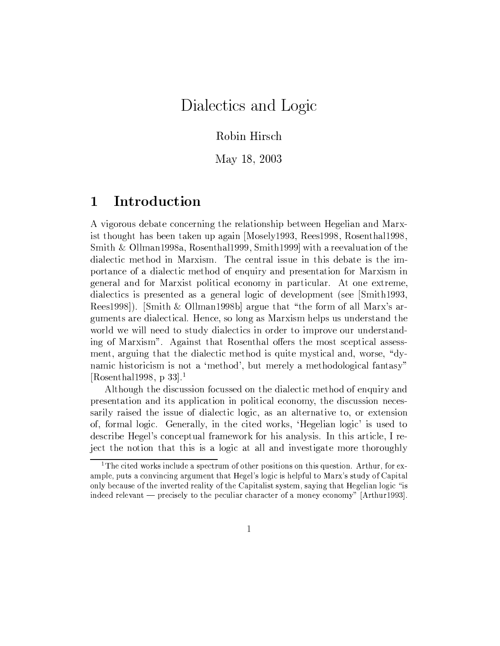# Dialectics and Logic

### Robin Hirsch

May 18, 2003

#### Introduction  $\mathbf 1$

A vigorous debate concerning the relationship between Hegelian and Marxist thought has been taken up again Mosely1993, Rees1998, Rosenthal1998, Smith & Ollman1998a, Rosenthal1999, Smith1999 with a reevaluation of the dialectic method in Marxism. The central issue in this debate is the importance of a dialectic method of enquiry and presentation for Marxism in general and for Marxist political economy in particular. At one extreme, dialectics is presented as a general logic of development (see [Smith1993, Rees1998]). [Smith & Ollman1998b] argue that "the form of all Marx's arguments are dialectical. Hence, so long as Marxism helps us understand the world we will need to study dialectics in order to improve our understanding of Marxism". Against that Rosenthal offers the most sceptical assessment, arguing that the dialectic method is quite mystical and, worse, "dynamic historicism is not a 'method', but merely a methodological fantasy" [Rosenthal1998, p  $33$ ].<sup>1</sup>

Although the discussion focussed on the dialectic method of enquiry and presentation and its application in political economy, the discussion necessarily raised the issue of dialectic logic, as an alternative to, or extension of, formal logic. Generally, in the cited works, 'Hegelian logic' is used to describe Hegel's conceptual framework for his analysis. In this article, I reject the notion that this is a logic at all and investigate more thoroughly

<sup>&</sup>lt;sup>1</sup>The cited works include a spectrum of other positions on this question. Arthur, for example, puts a convincing argument that Hegel's logic is helpful to Marx's study of Capital only because of the inverted reality of the Capitalist system, saying that Hegelian logic "is indeed relevant — precisely to the peculiar character of a money economy" [Arthur1993].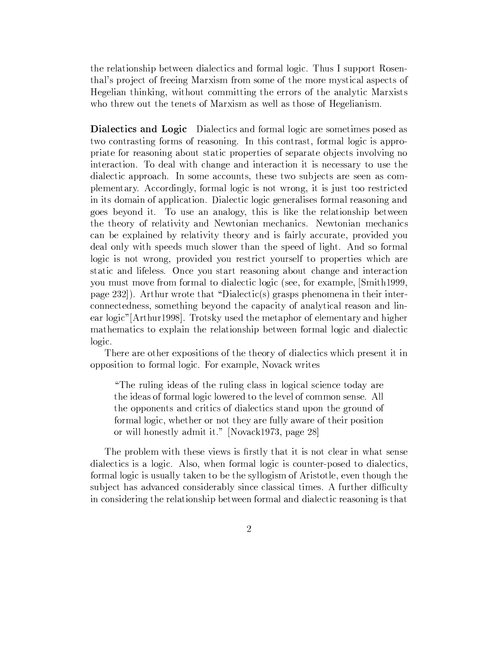the relationship between dialectics and formal logic. Thus I support Rosenthal's project of freeing Marxism from some of the more mystical aspects of Hegelian thinking, without committing the errors of the analytic Marxists who threw out the tenets of Marxism as well as those of Hegelianism.

**Dialectics and Logic** Dialectics and formal logic are sometimes posed as two contrasting forms of reasoning. In this contrast, formal logic is appropriate for reasoning about static properties of separate objects involving no interaction. To deal with change and interaction it is necessary to use the dialectic approach. In some accounts, these two subjects are seen as complementary. Accordingly, formal logic is not wrong, it is just too restricted in its domain of application. Dialectic logic generalises formal reasoning and goes beyond it. To use an analogy, this is like the relationship between the theory of relativity and Newtonian mechanics. Newtonian mechanics can be explained by relativity theory and is fairly accurate, provided you deal only with speeds much slower than the speed of light. And so formal logic is not wrong, provided you restrict yourself to properties which are static and lifeless. Once you start reasoning about change and interaction you must move from formal to dialectic logic (see, for example, Smith 1999, page 232]). Arthur wrote that "Dialectic(s) grasps phenomena in their interconnectedness, something beyond the capacity of analytical reason and linear logic" [Arthur1998]. Trotsky used the metaphor of elementary and higher mathematics to explain the relationship between formal logic and dialectic logic.

There are other expositions of the theory of dialectics which present it in opposition to formal logic. For example, Novack writes

"The ruling ideas of the ruling class in logical science today are the ideas of formal logic lowered to the level of common sense. All the opponents and critics of dialectics stand upon the ground of formal logic, whether or not they are fully aware of their position or will honestly admit it." [Novack1973, page 28]

The problem with these views is firstly that it is not clear in what sense dialectics is a logic. Also, when formal logic is counter-posed to dialectics, formal logic is usually taken to be the syllogism of Aristotle, even though the subject has advanced considerably since classical times. A further difficulty in considering the relationship between formal and dialectic reasoning is that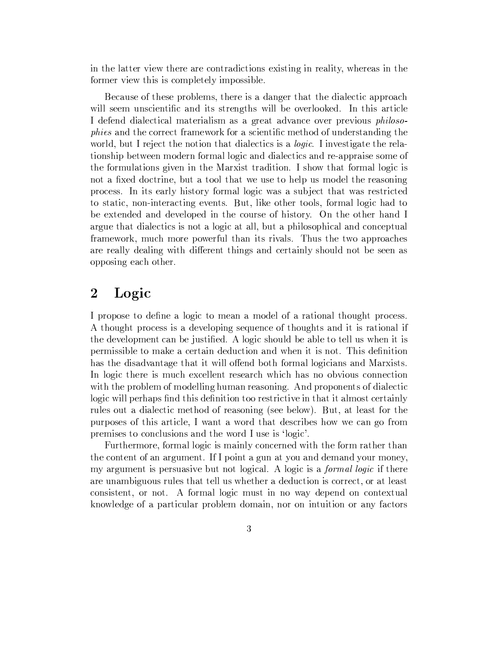in the latter view there are contradictions existing in reality, whereas in the former view this is completely impossible.

 $\bm{v}\in\mathbb{R}^d$  , we can after the  $\bm{v}\in\mathbb{R}^d$  and  $\bm{v}\in\mathbb{R}^d$ will seem unscientific and its strengths will be overlooked. In this article ºcZR\\^d:ZZRQi\_\*hl\\*b`aQib\_th\_\*`a\^VWQi\_thTQiYj \_rYM\_SrVa\\*\_\*`\_-Z2O-\_\*d:b\mUtOy\VckeVa\^O2QlUrX:Y 
 *phies* and the correct framework for a scientific method of understanding the world, but I reject the notion that dialectics is a *logic*. I investigate the rela- $\blacksquare$  $\blacksquare$  $\overline{\phantom{Z}\!}$  and  $\overline{\phantom{Z}\!}$  and  $\overline{\phantom{Z}\!}$  are  $\overline{\phantom{Z}\!}$  . The  $\overline{\phantom{Z}\!}$ process. In its early history formal logic was a subject that was restricted  $\mathcal{M}$  $\,=\,$ argue that dialectics is not a logic at all, but a philosophical and conceptual framework, much more powerful than its rivals. Thus the two approaches are really dealing with different things and certainly should not be seen as opposing each other.

## µD-MKtI

 $\mathbb{R}$  auz $\mathbb{R}$  $N$  are the UrXeS-f2's and the UrXeS-f2's fact that the UrXeS-f2's fact that the UrXeS-f2's fact that the UrXeS-f2's fact that the UrXeS-f2's fact that the UrXeS-f2's fact that the UrXeS-f2's fact that the UrXeS-f2's fact  $\blacksquare$ permissible to make a certain deduction and when it is not. This definition  $r$  iw distribution is a function of  $U$  and  $U$ In logic there is much excellent research which has no obvious connection  $\mathcal{C}$  and  $\mathcal{C}$  and  $\mathcal{C}$  are described as  $\mathcal{C}$  and  $\mathcal{C}$  and  $\mathcal{C}$ logic will perhaps find this definition too restrictive in that it almost certainly  $V$  and the U-Xe's decomposition  $V$  and  $V$  are  $\mathcal{V}$  and  $\mathcal{V}$  and  $\mathcal{V}$ outd2`c\_o8U-Vaki:UyYjVaki:UyYjVaki:UyYjVaki:UyYjVaki:UyYjVaki:UyYjVaki:UyYjVaki:UyYjVaki:UyYjVaki:UyYjVaki:UyY  $\mathcal{L}=\mathcal{L}=\mathcal{L}=\mathcal{L}=\mathcal{L}=\mathcal{L}=\mathcal{L}=\mathcal{L}=\mathcal{L}=\mathcal{L}=\mathcal{L}=\mathcal{L}=\mathcal{L}=\mathcal{L}=\mathcal{L}=\mathcal{L}=\mathcal{L}=\mathcal{L}=\mathcal{L}=\mathcal{L}=\mathcal{L}=\mathcal{L}=\mathcal{L}=\mathcal{L}=\mathcal{L}=\mathcal{L}=\mathcal{L}=\mathcal{L}=\mathcal{L}=\mathcal{L}=\mathcal{L}=\mathcal{L}=\mathcal{L}=\mathcal{L}=\mathcal{L}=\mathcal{L}=\mathcal{$ 

 $\blacksquare$  and the state different conditions of the difference of  $\blacksquare$ the content of an argument. If I point a gun at you and demand your money,  $\blacksquare$ are unambiguous rules that tell us whether a deduction is correct, or at least consistent, or not. A formal logic must in no way depend on contextual knowledge of a particular problem domain, nor on intuition or any factors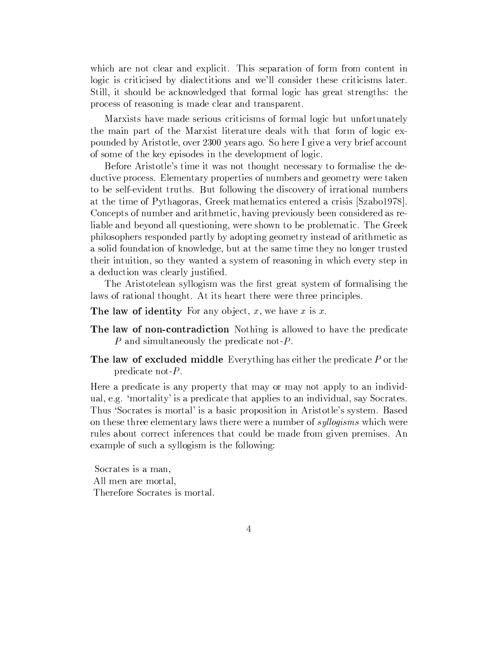which are not clear and explicit. This separation of form from content in logic is criticised by dialectitions and we'll consider these criticisms later. Still, it should be acknowledged that formal logic has great strengths: the process of reasoning is made clear and transparent.

Marxists have made serious criticisms of formal logic but unfortunately the main part of the Marxist literature deals with that form of logic expounded by Aristotle, over 2300 years ago. So here I give a very brief account of some of the key episodes in the development of logic.

Before Aristotle's time it was not thought necessary to formalise the deductive process. Elementary properties of numbers and geometry were taken to be self-evident truths. But following the discovery of irrational numbers at the time of Pythagoras, Greek mathematics entered a crisis [Szabo1978]. Concepts of number and arithmetic, having previously been considered as reliable and beyond all questioning, were shown to be problematic. The Greek philosophers responded partly by adopting geometry instead of arithmetic as a solid foundation of knowledge, but at the same time they no longer trusted their intuition, so they wanted a system of reasoning in which every step in a deduction was clearly justified.

The Aristotelean syllogism was the first great system of formalising the laws of rational thought. At its heart there were three principles.

- The law of identity For any object, x, we have x is x.
- The law of non-contradiction Nothing is allowed to have the predicate P and simultaneously the predicate not- $P$ .
- **The law of excluded middle** Everything has either the predicate  $P$  or the predicate not- $P$ .

Here a predicate is any property that may or may not apply to an individual, e.g. 'mortality' is a predicate that applies to an individual, say Socrates. Thus 'Socrates is mortal' is a basic proposition in Aristotle's system. Based on these three elementary laws there were a number of *syllogisms* which were rules about correct inferences that could be made from given premises. An example of such a syllogism is the following:

Socrates is a man, All men are mortal, Therefore Socrates is mortal.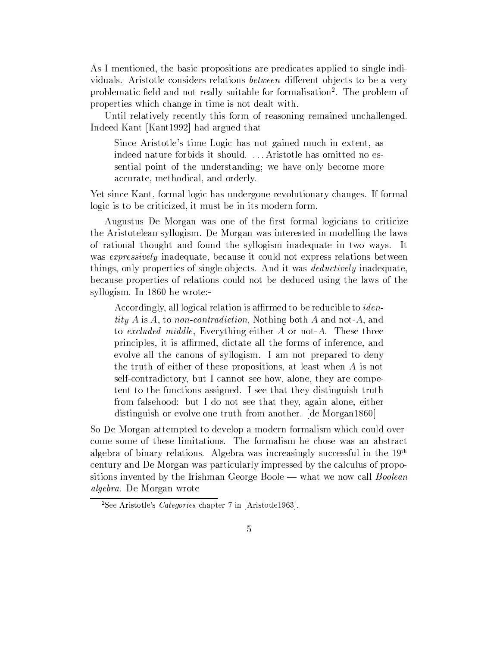As I mentioned, the basic propositions are predicates applied to single individuals. Aristotle considers relations *between* different objects to be a very problematic field and not really suitable for formalisation<sup>2</sup>. The problem of properties which change in time is not dealt with.

Until relatively recently this form of reasoning remained unchallenged. Indeed Kant [Kant1992] had argued that

Since Aristotle's time Logic has not gained much in extent, as indeed nature forbids it should. ... Aristotle has omitted no essential point of the understanding; we have only become more accurate, methodical, and orderly.

Yet since Kant, formal logic has undergone revolutionary changes. If formal logic is to be criticized, it must be in its modern form.

Augustus De Morgan was one of the first formal logicians to criticize the Aristotelean syllogism. De Morgan was interested in modelling the laws of rational thought and found the syllogism inadequate in two ways. It was *expressively* inadequate, because it could not express relations between things, only properties of single objects. And it was *deductively* inadequate, because properties of relations could not be deduced using the laws of the syllogism. In 1860 he wrote:-

Accordingly, all logical relation is affirmed to be reducible to *identity A* is A, to *non-contradiction*, Nothing both A and not-A, and to excluded middle, Everything either A or not-A. These three principles, it is affirmed, dictate all the forms of inference, and evolve all the canons of syllogism. I am not prepared to deny the truth of either of these propositions, at least when  $A$  is not self-contradictory, but I cannot see how, alone, they are competent to the functions assigned. I see that they distinguish truth from falsehood: but I do not see that they, again alone, either distinguish or evolve one truth from another. [de Morgan1860]

So De Morgan attempted to develop a modern formalism which could overcome some of these limitations. The formalism he chose was an abstract algebra of binary relations. Algebra was increasingly successful in the 19<sup>th</sup> century and De Morgan was particularly impressed by the calculus of propositions invented by the Irishman George Boole — what we now call *Boolean algebra*. De Morgan wrote

<sup>&</sup>lt;sup>2</sup>See Aristotle's *Categories* chapter 7 in [Aristotle1963].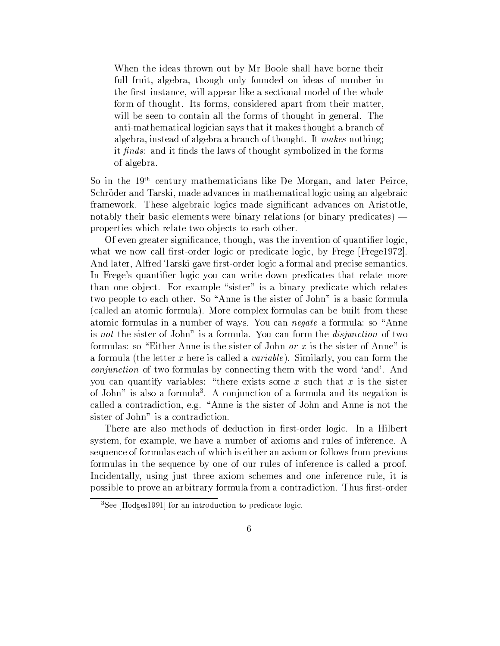When the ideas thrown out by Mr Boole shall have borne their full fruit, algebra, though only founded on ideas of number in the first instance, will appear like a sectional model of the whole form of thought. Its forms, considered apart from their matter, will be seen to contain all the forms of thought in general. The anti-mathematical logician says that it makes thought a branch of algebra, instead of algebra a branch of thought. It makes nothing: it *finds*: and it finds the laws of thought symbolized in the forms of algebra.

So in the 19<sup>th</sup> century mathematicians like De Morgan, and later Peirce, Schröder and Tarski, made advances in mathematical logic using an algebraic framework. These algebraic logics made significant advances on Aristotle, notably their basic elements were binary relations (or binary predicates) properties which relate two objects to each other.

Of even greater significance, though, was the invention of quantifier logic, what we now call first-order logic or predicate logic, by Frege [Frege1972]. And later, Alfred Tarski gave first-order logic a formal and precise semantics. In Frege's quantifier logic you can write down predicates that relate more than one object. For example "sister" is a binary predicate which relates two people to each other. So "Anne is the sister of John" is a basic formula (called an atomic formula). More complex formulas can be built from these atomic formulas in a number of ways. You can negate a formula: so "Anne is not the sister of John" is a formula. You can form the *disjunction* of two formulas: so "Either Anne is the sister of John or x is the sister of Anne" is a formula (the letter x here is called a *variable*). Similarly, you can form the *conjunction* of two formulas by connecting them with the word 'and'. And you can quantify variables: "there exists some x such that x is the sister of John" is also a formula<sup>3</sup>. A conjunction of a formula and its negation is called a contradiction, e.g. "Anne is the sister of John and Anne is not the sister of John" is a contradiction.

There are also methods of deduction in first-order logic. In a Hilbert system, for example, we have a number of axioms and rules of inference. A sequence of formulas each of which is either an axiom or follows from previous formulas in the sequence by one of our rules of inference is called a proof. Incidentally, using just three axiom schemes and one inference rule, it is possible to prove an arbitrary formula from a contradiction. Thus first-order

<sup>&</sup>lt;sup>3</sup>See [Hodges1991] for an introduction to predicate logic.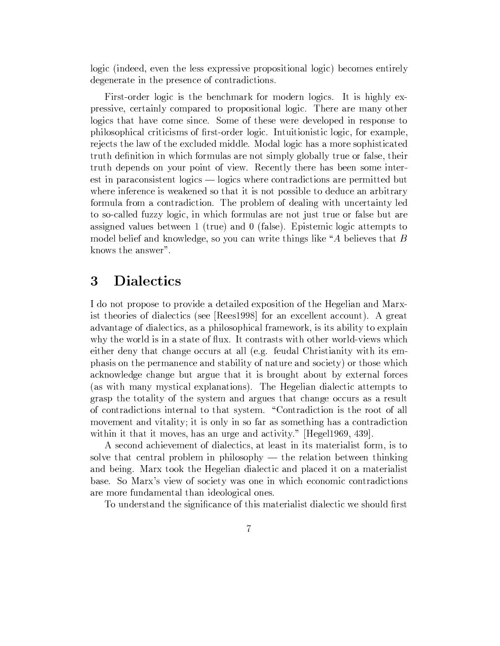$\log$ ic (indeed, even the less expressive propositional logic) becomes entirely degenerate in the presence of contradictions.

First-order logic is the benchmark for modern logics. It is highly expressive, certainly compared to propositional logic. There are many other  $\log$ ics that have come since. Some of these were developed in response to  $\mathcal{M}$  , we have a distributed as a distributed as a distribution of the  $\mathcal{M}$  $\mathbf{F}$  rejects the law of the excluded middle. Modal logic has a more sophisticated  $\blacksquare$  . that a different control  $\blacksquare$ truth depends on your point of view. Recently there has been some inter- $\check{z}$  est in paraconsistent logics  $\check{z}$  – logics where contradictions are permitted but where inference is weakened so that it is not possible to deduce an arbitrary  $\blacksquare$  $\mathbb{R}^n$  is a significant state  $\mathbb{R}^n$  is a significant state  $\mathbb{R}^n$ \_rYaYpQTS-de\¯Z'O-\_\*hlXe\¯Y ]:\^`jo8\^\^dµ}¡`WVaXe\r \_\*d:Z -m \_thsYp\- keQsYp`a\}Qib hTU-SrQibc\_t`W`a\^ke`{Y8`WU model belief and knowledge, so you can write things like "A believes that B knows the answer".

#### kijalkan kuning katalung kalendar katalung katalung katalung katalung katalung katalung katalung katalung katalung k

 $\blacksquare$  . The U-kindlandFutchdauto2QiZR\tdiractdFutchdauto2QiZR\tdiractdFutchdauto2QiZR\tdiractdFutchdauto2QiZR\tdiractdFutchdauto2QiZR\tdiractdFutchdauto2QiZR\tdiractdFutchdauto2QiZR\tdiractdFutchdauto2QiZR\tdiractdFutchd ist theories of dialectics (see [Rees1998] for an excellent account). A great  $r_{\text{advantage}}$  of dialectics, as a philosophical framework, is its ability to explain why the world is in a state of flux. It contrasts with other world-views which  $\overline{\phantom{a}}$  , and fever as a few  $\overline{\phantom{a}}$  fever as a few  $\overline{\phantom{a}}$  fever as  $\overline{\phantom{a}}$ phasis on the permanence and stability of nature and society) or those which acknowledge change but argue that it is brought about by external forces  $\gamma$  and  $\gamma$  and  $\gamma$  and  $\gamma$  and  $\gamma$  and  $\gamma$  and  $\gamma$  and  $\gamma$  are  $\gamma$  and  $\gamma$  and  $\gamma$  and  $\gamma$ grasp the totality of the system and argues that change occurs as a result of contradictions internal to that system. "Contradiction is the root of all movement and vitality; it is only in so far as something has a contradiction out that is a well-dependent of  $\mathcal{S}_\mathcal{A}$  with  $\mathcal{S}_\mathcal{A}$  and  $\mathcal{S}_\mathcal{A}$  and  $\mathcal{S}_\mathcal{A}$  . Then  $\mathcal{S}_\mathcal{A}$  is a set of  $\mathcal{S}_\mathcal{A}$  . Then  $\mathcal{S}_\mathcal{A}$  is a set of  $\mathcal{S}_\mathcal{A}$  is a set of  $\mathcal{S$ 

 $N$ j $N$  is a set of the  $N$  th  $\mathcal{N}$  . The  $\mathcal{N}$  is a set of the  $\mathcal{N}$ solve that central problem in philosophy — the relation between thinking  $\blacksquare$ base. So Marx's view of society was one in which economic contradictions  $\mathcal{U}\subset\mathcal{U}\subset\mathcal{U}\subset\mathcal{U}$ 

To understand the significance of this materialist dialectic we should first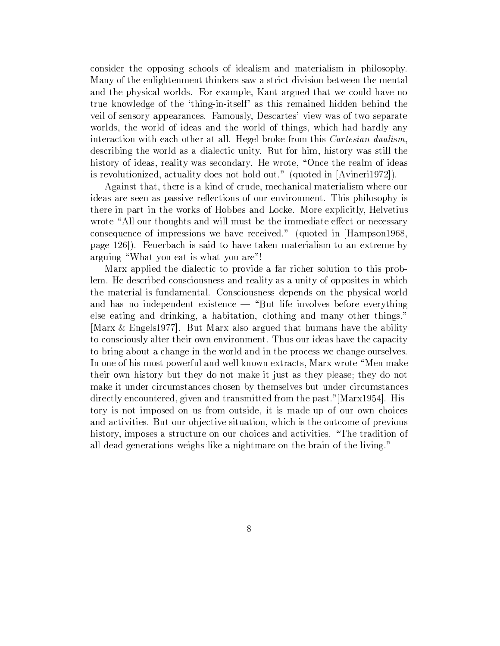consider the opposing schools of idealism and materialism in philosophy. Many of the enlightenment thinkers saw a strict division between the mental and the physical worlds. For example, Kant argued that we could have no true knowledge of the 'thing-in-itself' as this remained hidden behind the veil of sensory appearances. Famously, Descartes' view was of two separate worlds, the world of ideas and the world of things, which had hardly any interaction with each other at all. Hegel broke from this *Cartesian dualism*, describing the world as a dialectic unity. But for him, history was still the history of ideas, reality was secondary. He wrote, "Once the realm of ideas is revolutionized, actuality does not hold out." (quoted in [Avineri1972]).

Against that, there is a kind of crude, mechanical materialism where our ideas are seen as passive reflections of our environment. This philosophy is there in part in the works of Hobbes and Locke. More explicitly, Helvetius wrote "All our thoughts and will must be the immediate effect or necessary consequence of impressions we have received." (quoted in [Hampson1968, page 126). Feuerbach is said to have taken materialism to an extreme by arguing "What you eat is what you are"!

Marx applied the dialectic to provide a far richer solution to this problem. He described consciousness and reality as a unity of opposites in which the material is fundamental. Consciousness depends on the physical world and has no independent existence  $-$  "But life involves before everything else eating and drinking, a habitation, clothing and many other things." Marx & Engels 1977. But Marx also argued that humans have the ability to consciously alter their own environment. Thus our ideas have the capacity to bring about a change in the world and in the process we change ourselves. In one of his most powerful and well known extracts, Marx wrote "Men make their own history but they do not make it just as they please; they do not make it under circumstances chosen by themselves but under circumstances directly encountered, given and transmitted from the past." [Marx1954]. History is not imposed on us from outside, it is made up of our own choices and activities. But our objective situation, which is the outcome of previous history, imposes a structure on our choices and activities. "The tradition of all dead generations weighs like a nightmare on the brain of the living."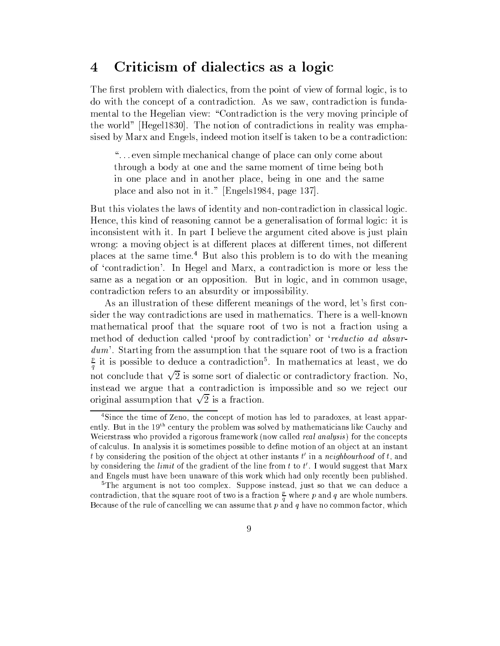#### Criticism of dialectics as a logic  $\overline{4}$

The first problem with dialectics, from the point of view of formal logic, is to do with the concept of a contradiction. As we saw, contradiction is fundamental to the Hegelian view: "Contradiction is the very moving principle of the world" [Hegel1830]. The notion of contradictions in reality was emphasised by Marx and Engels, indeed motion itself is taken to be a contradiction:

"... even simple mechanical change of place can only come about through a body at one and the same moment of time being both in one place and in another place, being in one and the same place and also not in it." [Engels1984, page 137].

But this violates the laws of identity and non-contradiction in classical logic. Hence, this kind of reasoning cannot be a generalisation of formal logic: it is inconsistent with it. In part I believe the argument cited above is just plain wrong: a moving object is at different places at different times, not different places at the same time.<sup>4</sup> But also this problem is to do with the meaning of 'contradiction'. In Hegel and Marx, a contradiction is more or less the same as a negation or an opposition. But in logic, and in common usage, contradiction refers to an absurdity or impossibility.

As an illustration of these different meanings of the word, let's first consider the way contradictions are used in mathematics. There is a well-known mathematical proof that the square root of two is not a fraction using a method of deduction called 'proof by contradiction' or 'reductio ad absur $dum'$ . Starting from the assumption that the square root of two is a fraction  $\frac{p}{q}$  it is possible to deduce a contradiction<sup>5</sup>. In mathematics at least, we do not conclude that  $\sqrt{2}$  is some sort of dialectic or contradictory fraction. No, instead we argue that a contradiction is impossible and so we reject our original assumption that  $\sqrt{2}$  is a fraction.

<sup>&</sup>lt;sup>4</sup>Since the time of Zeno, the concept of motion has led to paradoxes, at least apparently. But in the  $19<sup>th</sup>$  century the problem was solved by mathematicians like Cauchy and Weierstrass who provided a rigorous framework (now called *real analysis*) for the concepts of calculus. In analysis it is sometimes possible to define motion of an object at an instant t by considering the position of the object at other instants t' in a neighbourhood of t, and by considering the *limit* of the gradient of the line from  $t$  to  $t'$ . I would suggest that Marx and Engels must have been unaware of this work which had only recently been published.

<sup>&</sup>lt;sup>5</sup>The argument is not too complex. Suppose instead, just so that we can deduce a contradiction, that the square root of two is a fraction  $\frac{p}{q}$  where p and q are whole numbers. Because of the rule of cancelling we can assume that  $p$  and  $q$  have no common factor, which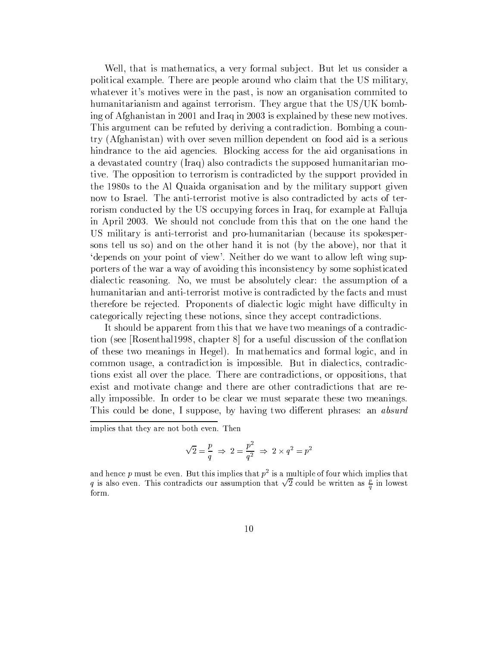Well, that is mathematics, a very formal subject. But let us consider a political example. There are people around who claim that the US military, whatever it's motives were in the past, is now an organisation commited to humanitarianism and against terrorism. They argue that the US/UK bombing of Afghanistan in 2001 and Iraq in 2003 is explained by these new motives. This argument can be refuted by deriving a contradiction. Bombing a country (Afghanistan) with over seven million dependent on food aid is a serious hindrance to the aid agencies. Blocking access for the aid organisations in a devastated country (Iraq) also contradicts the supposed humanitarian motive. The opposition to terrorism is contradicted by the support provided in the 1980s to the Al Quaida organisation and by the military support given now to Israel. The anti-terrorist motive is also contradicted by acts of terrorism conducted by the US occupying forces in Iraq, for example at Falluja in April 2003. We should not conclude from this that on the one hand the US military is anti-terrorist and pro-humanitarian (because its spokespersons tell us so) and on the other hand it is not (by the above), nor that it 'depends on your point of view'. Neither do we want to allow left wing supporters of the war a way of avoiding this inconsistency by some sophisticated dialectic reasoning. No, we must be absolutely clear: the assumption of a humanitarian and anti-terrorist motive is contradicted by the facts and must therefore be rejected. Proponents of dialectic logic might have difficulty in categorically rejecting these notions, since they accept contradictions.

It should be apparent from this that we have two meanings of a contradiction (see [Rosenthal1998, chapter 8] for a useful discussion of the conflation of these two meanings in Hegel). In mathematics and formal logic, and in common usage, a contradiction is impossible. But in dialectics, contradictions exist all over the place. There are contradictions, or oppositions, that exist and motivate change and there are other contradictions that are really impossible. In order to be clear we must separate these two meanings. This could be done, I suppose, by having two different phrases: an *absurd* 

$$
\sqrt{2} = \frac{p}{q} \Rightarrow 2 = \frac{p^2}{q^2} \Rightarrow 2 \times q^2 = p^2
$$

implies that they are not both even. Then

and hence  $p$  must be even. But this implies that  $p^2$  is a multiple of four which implies that q is also even. This contradicts our assumption that  $\sqrt{2}$  could be written as  $\frac{p}{q}$  in lowest form.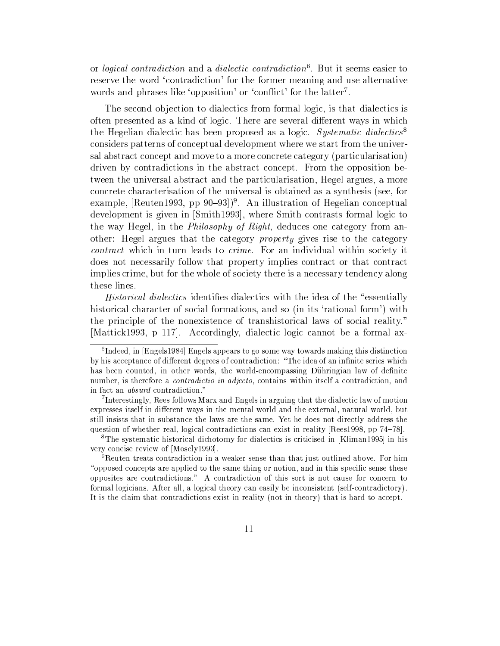or *logical contradiction* and a *dialectic contradiction*<sup>6</sup>. But it seems easier to reserve the word 'contradiction' for the former meaning and use alternative words and phrases like 'opposition' or 'conflict' for the latter<sup>7</sup>.

The second objection to dialectics from formal logic, is that dialectics is often presented as a kind of logic. There are several different ways in which the Hegelian dialectic has been proposed as a logic. Systematic dialectics<sup>8</sup> considers patterns of conceptual development where we start from the universal abstract concept and move to a more concrete category (particularisation) driven by contradictions in the abstract concept. From the opposition between the universal abstract and the particularisation, Hegel argues, a more concrete characterisation of the universal is obtained as a synthesis (see, for example, [Reuten1993, pp  $90-93$ ])<sup>9</sup>. An illustration of Hegelian conceptual development is given in [Smith1993], where Smith contrasts formal logic to the way Hegel, in the *Philosophy of Right*, deduces one category from another: Hegel argues that the category *property* gives rise to the category *contract* which in turn leads to *crime*. For an individual within society it does not necessarily follow that property implies contract or that contract implies crime, but for the whole of society there is a necessary tendency along these lines.

*Historical dialectics* identifies dialectics with the idea of the "essentially historical character of social formations, and so (in its 'rational form') with the principle of the nonexistence of transhistorical laws of social reality." [Mattick1993, p 117]. Accordingly, dialectic logic cannot be a formal ax-

 ${}^{6}$ Indeed, in [Engels1984] Engels appears to go some way towards making this distinction by his acceptance of different degrees of contradiction: "The idea of an infinite series which has been counted, in other words, the world-encompassing Dühringian law of definite number, is therefore a *contradictio in adjecto*, contains within itself a contradiction, and in fact an *absurd* contradiction."

<sup>&</sup>lt;sup>7</sup>Interestingly, Rees follows Marx and Engels in arguing that the dialectic law of motion expresses itself in different ways in the mental world and the external, natural world, but still insists that in substance the laws are the same. Yet he does not directly address the question of whether real, logical contradictions can exist in reality [Rees1998, pp 74-78].

<sup>&</sup>lt;sup>8</sup>The systematic-historical dichotomy for dialectics is criticised in [Kliman1995] in his very concise review of [Mosely1993].

<sup>&</sup>lt;sup>9</sup>Reuten treats contradiction in a weaker sense than that just outlined above. For him "opposed concepts are applied to the same thing or notion, and in this specific sense these opposites are contradictions." A contradiction of this sort is not cause for concern to formal logicians. After all, a logical theory can easily be inconsistent (self-contradictory). It is the claim that contradictions exist in reality (not in theory) that is hard to accept.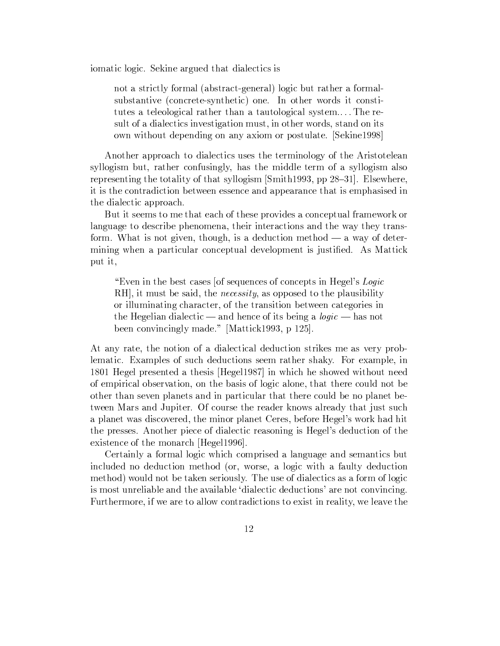iomatic logic. Sekine argued that dialectics is

not a strictly formal (abstract-general) logic but rather a formalsubstantive (concrete-synthetic) one. In other words it constitutes a teleological rather than a tautological system.... The result of a dialectics investigation must, in other words, stand on its own without depending on any axiom or postulate. [Sekine1998]

Another approach to dialectics uses the terminology of the Aristotelean syllogism but, rather confusingly, has the middle term of a syllogism also representing the totality of that syllogism  $[\text{Smith}1993, pp 28-31]$ . Elsewhere, it is the contradiction between essence and appearance that is emphasised in the dialectic approach.

But it seems to me that each of these provides a conceptual framework or language to describe phenomena, their interactions and the way they transform. What is not given, though, is a deduction method — a way of determining when a particular conceptual development is justified. As Mattick put it.

"Even in the best cases [of sequences of concepts in Hegel's Logic RH, it must be said, the *necessity*, as opposed to the plausibility or illuminating character, of the transition between categories in the Hegelian dialectic — and hence of its being a *logic* — has not been convincingly made." [Mattick1993, p 125].

At any rate, the notion of a dialectical deduction strikes me as very problematic. Examples of such deductions seem rather shaky. For example, in 1801 Hegel presented a thesis [Hegel1987] in which he showed without need of empirical observation, on the basis of logic alone, that there could not be other than seven planets and in particular that there could be no planet between Mars and Jupiter. Of course the reader knows already that just such a planet was discovered, the minor planet Ceres, before Hegel's work had hit the presses. Another piece of dialectic reasoning is Hegel's deduction of the existence of the monarch [Hegel1996].

Certainly a formal logic which comprised a language and semantics but included no deduction method (or, worse, a logic with a faulty deduction method) would not be taken seriously. The use of dialectics as a form of logic is most unreliable and the available 'dialectic deductions' are not convincing. Furthermore, if we are to allow contradictions to exist in reality, we leave the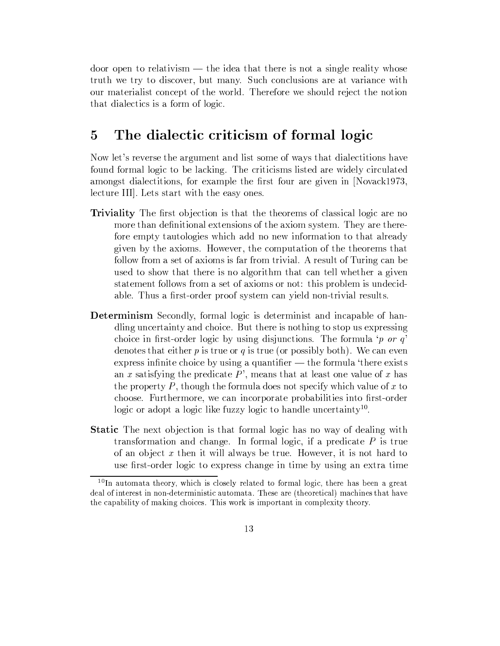$\alpha$  door open to relativism — the idea that there is not a single reality whose truth we try to discover, but many. Such conclusions are at variance with our materialist concept of the world. Therefore we should reject the notion that dialectics is a form of logic.

#### The dialectic criticism of formal logic  $\overline{5}$

Now let's reverse the argument and list some of ways that dialectitions have found formal logic to be lacking. The criticisms listed are widely circulated amongst dialectitions, for example the first four are given in [Novack1973, lecture III. Lets start with the easy ones.

- **Triviality** The first objection is that the theorems of classical logic are no more than definitional extensions of the axiom system. They are therefore empty tautologies which add no new information to that already given by the axioms. However, the computation of the theorems that follow from a set of axioms is far from trivial. A result of Turing can be used to show that there is no algorithm that can tell whether a given statement follows from a set of axioms or not: this problem is undecidable. Thus a first-order proof system can yield non-trivial results.
- **Determinism** Secondly, formal logic is determinist and incapable of handling uncertainty and choice. But there is nothing to stop us expressing choice in first-order logic by using disjunctions. The formula 'p or  $q$ ' denotes that either p is true or q is true (or possibly both). We can even express infinite choice by using a quantifier — the formula 'there exists an x satisfying the predicate  $P'$ , means that at least one value of x has the property  $P$ , though the formula does not specify which value of  $x$  to choose. Furthermore, we can incorporate probabilities into first-order logic or adopt a logic like fuzzy logic to handle uncertainty<sup>10</sup>.
- **Static** The next objection is that formal logic has no way of dealing with transformation and change. In formal logic, if a predicate  $P$  is true of an object  $x$  then it will always be true. However, it is not hard to use first-order logic to express change in time by using an extra time

 $10$ In automata theory, which is closely related to formal logic, there has been a great deal of interest in non-deterministic automata. These are (theoretical) machines that have the capability of making choices. This work is important in complexity theory.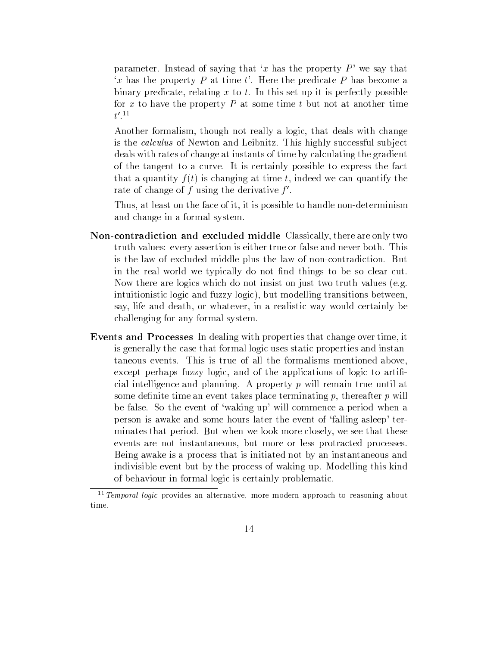parameter. Instead of saying that 'x has the property  $P'$  we say that 'x has the property P at time t'. Here the predicate P has become a binary predicate, relating  $x$  to  $t$ . In this set up it is perfectly possible for x to have the property  $P$  at some time t but not at another time  $t^{\prime}$ .<sup>11</sup>

Another formalism, though not really a logic, that deals with change is the *calculus* of Newton and Leibnitz. This highly successful subject deals with rates of change at instants of time by calculating the gradient of the tangent to a curve. It is certainly possible to express the fact that a quantity  $f(t)$  is changing at time t, indeed we can quantify the rate of change of f using the derivative  $f'$ .

Thus, at least on the face of it, it is possible to handle non-determinism and change in a formal system.

- **Non-contradiction and excluded middle Classically, there are only two** truth values: every assertion is either true or false and never both. This is the law of excluded middle plus the law of non-contradiction. But in the real world we typically do not find things to be so clear cut. Now there are logics which do not insist on just two truth values (e.g. intuitionistic logic and fuzzy logic), but modelling transitions between, say, life and death, or whatever, in a realistic way would certainly be challenging for any formal system.
- **Events and Processes** In dealing with properties that change over time, it is generally the case that formal logic uses static properties and instantaneous events. This is true of all the formalisms mentioned above, except perhaps fuzzy logic, and of the applications of logic to artificial intelligence and planning. A property  $p$  will remain true until at some definite time an event takes place terminating  $p$ , thereafter  $p$  will be false. So the event of 'waking-up' will commence a period when a person is awake and some hours later the event of 'falling as leep' terminates that period. But when we look more closely, we see that these events are not instantaneous, but more or less protracted processes. Being awake is a process that is initiated not by an instantaneous and indivisible event but by the process of waking-up. Modelling this kind of behaviour in formal logic is certainly problematic.

 $11$  Temporal logic provides an alternative, more modern approach to reasoning about time.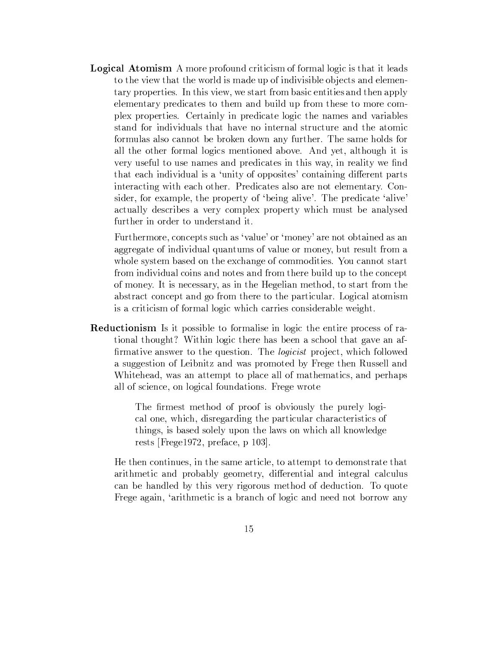**Logical Atomism** A more profound criticism of formal logic is that it leads to the view that the world is made up of indivisible objects and elementary properties. In this view, we start from basic entities and then apply elementary predicates to them and build up from these to more complex properties. Certainly in predicate logic the names and variables stand for individuals that have no internal structure and the atomic formulas also cannot be broken down any further. The same holds for all the other formal logics mentioned above. And yet, although it is very useful to use names and predicates in this way, in reality we find that each individual is a 'unity of opposites' containing different parts interacting with each other. Predicates also are not elementary. Consider, for example, the property of 'being alive'. The predicate 'alive' actually describes a very complex property which must be analysed further in order to understand it.

Furthermore, concepts such as 'value' or 'money' are not obtained as an aggregate of individual quantums of value or money, but result from a whole system based on the exchange of commodities. You cannot start from individual coins and notes and from there build up to the concept of money. It is necessary, as in the Hegelian method, to start from the abstract concept and go from there to the particular. Logical atomism is a criticism of formal logic which carries considerable weight.

**Reductionism** Is it possible to formalise in logic the entire process of rational thought? Within logic there has been a school that gave an affirmative answer to the question. The *logicist* project, which followed a suggestion of Leibnitz and was promoted by Frege then Russell and Whitehead, was an attempt to place all of mathematics, and perhaps all of science, on logical foundations. Frege wrote

> The firmest method of proof is obviously the purely logical one, which, disregarding the particular characteristics of things, is based solely upon the laws on which all knowledge rests [Frege1972, preface,  $p$  103].

He then continues, in the same article, to attempt to demonstrate that arithmetic and probably geometry, differential and integral calculus can be handled by this very rigorous method of deduction. To quote Frege again, 'arithmetic is a branch of logic and need not borrow any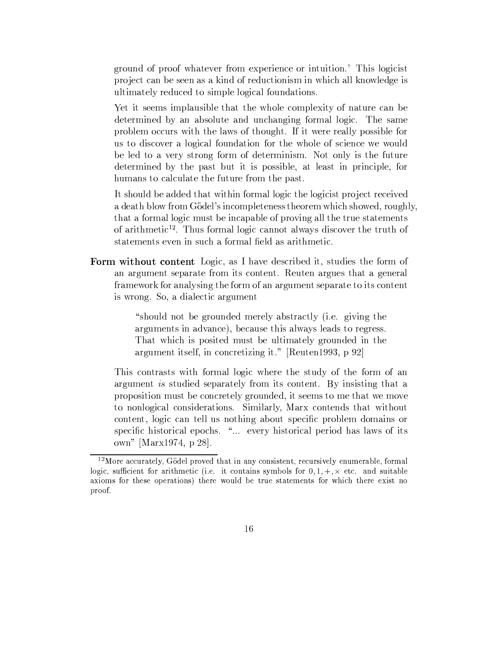ground of proof whatever from experience or intuition.' This logicist project can be seen as a kind of reductionism in which all knowledge is ultimately reduced to simple logical foundations.

Yet it seems implausible that the whole complexity of nature can be determined by an absolute and unchanging formal logic. The same problem occurs with the laws of thought. If it were really possible for us to discover a logical foundation for the whole of science we would be led to a very strong form of determinism. Not only is the future determined by the past but it is possible, at least in principle, for humans to calculate the future from the past.

It should be added that within formal logic the logicist project received a death blow from Gödel's incompleteness theorem which showed, roughly, that a formal logic must be incapable of proving all the true statements of arithmetic<sup>12</sup>. Thus formal logic cannot always discover the truth of statements even in such a formal field as arithmetic.

Form without content Logic, as I have described it, studies the form of an argument separate from its content. Reuten argues that a general framework for analysing the form of an argument separate to its content is wrong. So, a dialectic argument

> "should not be grounded merely abstractly (i.e. giving the arguments in advance), because this always leads to regress. That which is posited must be ultimately grounded in the argument itself, in concretizing it." [Reuten1993, p 92]

This contrasts with formal logic where the study of the form of an argument is studied separately from its content. By insisting that a proposition must be concretely grounded, it seems to me that we move to nonlogical considerations. Similarly, Marx contends that without content, logic can tell us nothing about specific problem domains or specific historical epochs. "... every historical period has laws of its own" [Marx1974, p 28].

 $12$ More accurately, Gödel proved that in any consistent, recursively enumerable, formal logic, sufficient for arithmetic (i.e. it contains symbols for  $0, 1, +, \times$  etc. and suitable axioms for these operations) there would be true statements for which there exist no proof.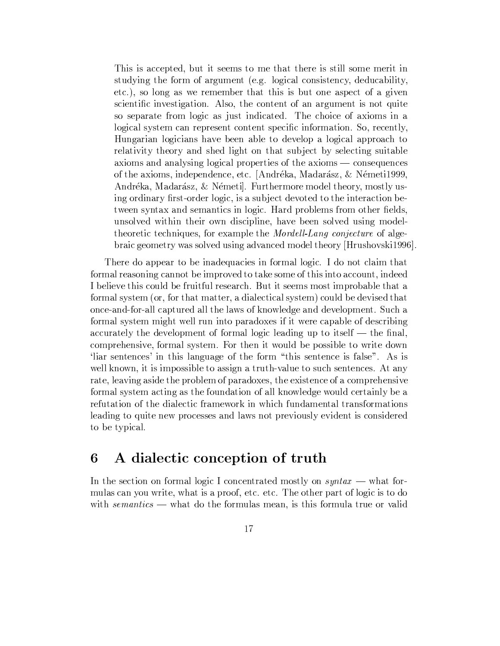This is accepted, but it seems to me that there is still some merit in studying the form of argument (e.g. logical consistency, deducability, etc.), so long as we remember that this is but one aspect of a given scientific investigation. Also, the content of an argument is not quite so separate from logic as just indicated. The choice of axioms in a logical system can represent content specific information. So, recently, Hungarian logicians have been able to develop a logical approach to relativity theory and shed light on that subject by selecting suitable  $axioms$  and analysing logical properties of the  $axioms$  consequences of the axioms, independence, etc. [Andréka, Madarász, & Németi1999, Andréka, Madarász, & Németil. Furthermore model theory, mostly using ordinary first-order logic, is a subject devoted to the interaction between syntax and semantics in logic. Hard problems from other fields, unsolved within their own discipline, have been solved using modeltheoretic techniques, for example the *Mordell-Lang conjecture* of algebraic geometry was solved using advanced model theory [Hrushovski1996].

There do appear to be inadequacies in formal logic. I do not claim that formal reasoning cannot be improved to take some of this into account, indeed I believe this could be fruitful research. But it seems most improbable that a formal system (or, for that matter, a dialectical system) could be devised that once-and-for-all captured all the laws of knowledge and development. Such a formal system might well run into paradoxes if it were capable of describing accurately the development of formal logic leading up to itself — the final, comprehensive, formal system. For then it would be possible to write down 'liar sentences' in this language of the form "this sentence is false". As is well known, it is impossible to assign a truth-value to such sentences. At any rate, leaving aside the problem of paradoxes, the existence of a comprehensive formal system acting as the foundation of all knowledge would certainly be a refutation of the dialectic framework in which fundamental transformations leading to quite new processes and laws not previously evident is considered to be typical.

#### A dialectic conception of truth 6

In the section on formal logic I concentrated mostly on  $\text{s}yntax$  — what formulas can you write, what is a proof, etc. etc. The other part of logic is to do with semantics — what do the formulas mean, is this formula true or valid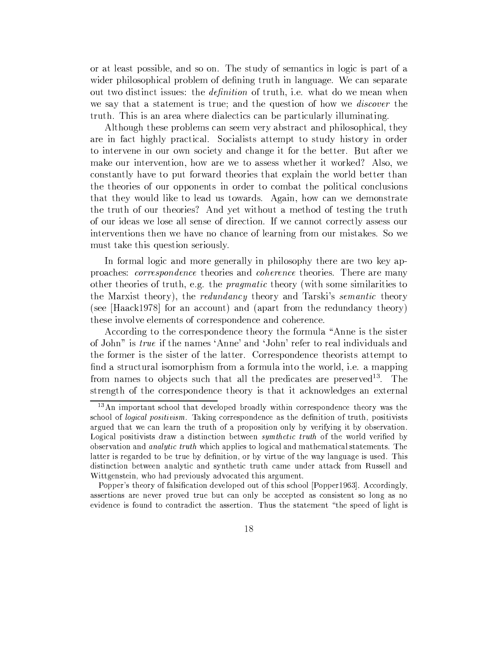or at least possible, and so on. The study of semantics in logic is part of a wider philosophical problem of defining truth in language. We can separate out two distinct issues: the *definition* of truth, i.e. what do we mean when we say that a statement is true; and the question of how we *discover* the truth. This is an area where dialectics can be particularly illuminating.

Although these problems can seem very abstract and philosophical, they are in fact highly practical. Socialists attempt to study history in order to intervene in our own society and change it for the better. But after we make our intervention, how are we to assess whether it worked? Also, we constantly have to put forward theories that explain the world better than the theories of our opponents in order to combat the political conclusions that they would like to lead us towards. Again, how can we demonstrate the truth of our theories? And yet without a method of testing the truth of our ideas we lose all sense of direction. If we cannot correctly assess our interventions then we have no chance of learning from our mistakes. So we must take this question seriously.

In formal logic and more generally in philosophy there are two key approaches: *correspondence* theories and *coherence* theories. There are many other theories of truth, e.g. the *pragmatic* theory (with some similarities to the Marxist theory), the *redundancy* theory and Tarski's *semantic* theory (see [Haack1978] for an account) and (apart from the redundancy theory) these involve elements of correspondence and coherence.

According to the correspondence theory the formula "Anne is the sister of John" is *true* if the names 'Anne' and 'John' refer to real individuals and the former is the sister of the latter. Correspondence theorists attempt to find a structural isomorphism from a formula into the world, i.e. a mapping from names to objects such that all the predicates are preserved<sup>13</sup>. The strength of the correspondence theory is that it acknowledges an external

 $13$ An important school that developed broadly within correspondence theory was the school of *logical positivism*. Taking correspondence as the definition of truth, positivists argued that we can learn the truth of a proposition only by verifying it by observation. Logical positivists draw a distinction between *symthetic truth* of the world verified by observation and *analytic truth* which applies to logical and mathematical statements. The latter is regarded to be true by definition, or by virtue of the way language is used. This distinction between analytic and synthetic truth came under attack from Russell and Wittgenstein, who had previously advocated this argument.

Popper's theory of falsification developed out of this school [Popper1963]. Accordingly, assertions are never proved true but can only be accepted as consistent so long as no evidence is found to contradict the assertion. Thus the statement "the speed of light is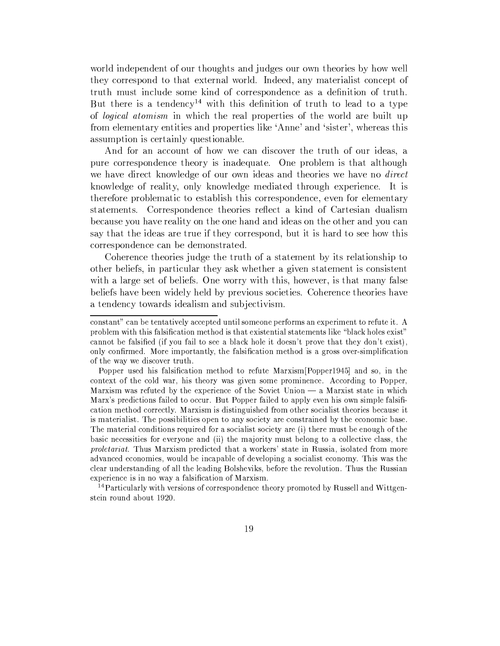world independent of our thoughts and judges our own theories by how well they correspond to that external world. Indeed, any materialist concept of truth must include some kind of correspondence as a definition of truth. But there is a tendency<sup>14</sup> with this definition of truth to lead to a type of *logical atomism* in which the real properties of the world are built up from elementary entities and properties like 'Anne' and 'sister', whereas this assumption is certainly questionable.

And for an account of how we can discover the truth of our ideas, a pure correspondence theory is inadequate. One problem is that although we have direct knowledge of our own ideas and theories we have no *direct* knowledge of reality, only knowledge mediated through experience. It is therefore problematic to establish this correspondence, even for elementary statements. Correspondence theories reflect a kind of Cartesian dualism because you have reality on the one hand and ideas on the other and you can say that the ideas are true if they correspond, but it is hard to see how this correspondence can be demonstrated.

Coherence theories judge the truth of a statement by its relationship to other beliefs, in particular they ask whether a given statement is consistent with a large set of beliefs. One worry with this, however, is that many false beliefs have been widely held by previous societies. Coherence theories have a tendency towards idealism and subjectivism.

<sup>14</sup> Particularly with versions of correspondence theory promoted by Russell and Wittgenstein round about 1920.

constant" can be tentatively accepted until someone performs an experiment to refute it. A problem with this falsification method is that existential statements like "black holes exist" cannot be falsified (if you fail to see a black hole it doesn't prove that they don't exist), only confirmed. More importantly, the falsification method is a gross over-simplification of the way we discover truth.

Popper used his falsification method to refute Marxism [Popper1945] and so, in the context of the cold war, his theory was given some prominence. According to Popper, Marxism was refuted by the experience of the Soviet Union — a Marxist state in which Marx's predictions failed to occur. But Popper failed to apply even his own simple falsification method correctly. Marxism is distinguished from other socialist theories because it is materialist. The possibilities open to any society are constrained by the economic base. The material conditions required for a socialist society are (i) there must be enough of the basic necessities for everyone and (ii) the majority must belong to a collective class, the proletariat. Thus Marxism predicted that a workers' state in Russia, isolated from more advanced economies, would be incapable of developing a socialist economy. This was the clear understanding of all the leading Bolsheviks, before the revolution. Thus the Russian experience is in no way a falsification of Marxism.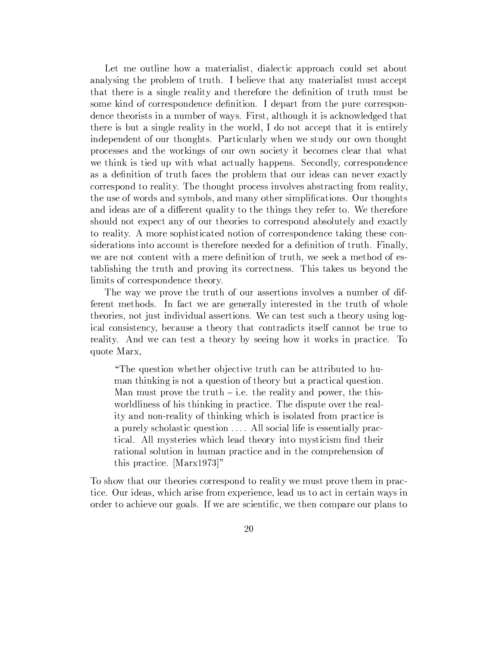Let me outline how a materialist, dialectic approach could set about analysing the problem of truth. I believe that any materialist must accept that there is a single reality and therefore the definition of truth must be some kind of correspondence definition. I depart from the pure correspondence theorists in a number of ways. First, although it is acknowledged that there is but a single reality in the world, I do not accept that it is entirely independent of our thoughts. Particularly when we study our own thought processes and the workings of our own society it becomes clear that what we think is tied up with what actually happens. Secondly, correspondence as a definition of truth faces the problem that our ideas can never exactly correspond to reality. The thought process involves abstracting from reality, the use of words and symbols, and many other simplifications. Our thoughts and ideas are of a different quality to the things they refer to. We therefore should not expect any of our theories to correspond absolutely and exactly to reality. A more sophisticated notion of correspondence taking these considerations into account is therefore needed for a definition of truth. Finally, we are not content with a mere definition of truth, we seek a method of establishing the truth and proving its correctness. This takes us beyond the limits of correspondence theory.

The way we prove the truth of our assertions involves a number of different methods. In fact we are generally interested in the truth of whole theories, not just individual assertions. We can test such a theory using logical consistency, because a theory that contradicts itself cannot be true to reality. And we can test a theory by seeing how it works in practice. To quote Marx,

"The question whether objective truth can be attributed to human thinking is not a question of theory but a practical question. Man must prove the truth  $-$  i.e. the reality and power, the thisworldliness of his thinking in practice. The dispute over the reality and non-reality of thinking which is isolated from practice is a purely scholastic question .... All social life is essentially practical. All mysteries which lead theory into mysticism find their rational solution in human practice and in the comprehension of this practice. [Marx1973]"

To show that our theories correspond to reality we must prove them in practice. Our ideas, which arise from experience, lead us to act in certain ways in order to achieve our goals. If we are scientific, we then compare our plans to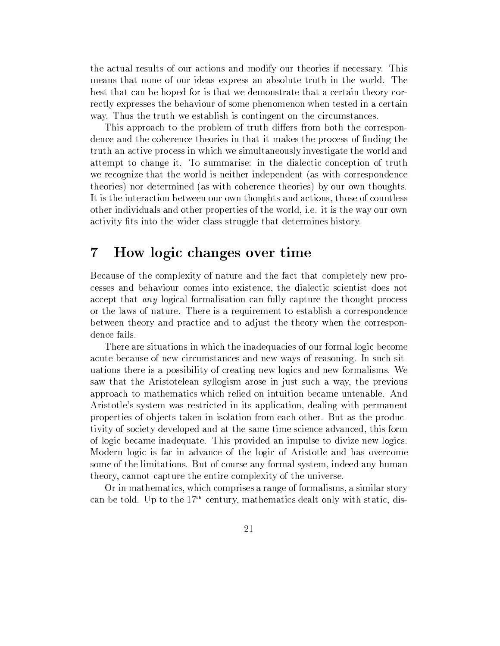the actual results of our actions and modify our theories if necessary. This means that none of our ideas express an absolute truth in the world. The best that can be hoped for is that we demonstrate that a certain theory correctly expresses the behaviour of some phenomenon when tested in a certain way. Thus the truth we establish is contingent on the circumstances.

This approach to the problem of truth differs from both the correspondence and the coherence theories in that it makes the process of finding the truth an active process in which we simultaneously investigate the world and attempt to change it. To summarise: in the dialectic conception of truth we recognize that the world is neither independent (as with correspondence theories) nor determined (as with coherence theories) by our own thoughts. It is the interaction between our own thoughts and actions, those of countless other individuals and other properties of the world, i.e. it is the way our own activity fits into the wider class struggle that determines history.

#### How logic changes over time  $\overline{7}$

Because of the complexity of nature and the fact that completely new processes and behaviour comes into existence, the dialectic scientist does not accept that *any* logical formalisation can fully capture the thought process or the laws of nature. There is a requirement to establish a correspondence between theory and practice and to adjust the theory when the correspondence fails.

There are situations in which the inadequacies of our formal logic become acute because of new circumstances and new ways of reasoning. In such situations there is a possibility of creating new logics and new formalisms. We saw that the Aristotelean syllogism arose in just such a way, the previous approach to mathematics which relied on intuition became untenable. And Aristotle's system was restricted in its application, dealing with permanent properties of objects taken in isolation from each other. But as the productivity of society developed and at the same time science advanced, this form of logic became inadequate. This provided an impulse to divize new logics. Modern logic is far in advance of the logic of Aristotle and has overcome some of the limitations. But of course any formal system, indeed any human theory, cannot capture the entire complexity of the universe.

Or in mathematics, which comprises a range of formalisms, a similar story can be told. Up to the  $17<sup>th</sup>$  century, mathematics dealt only with static, dis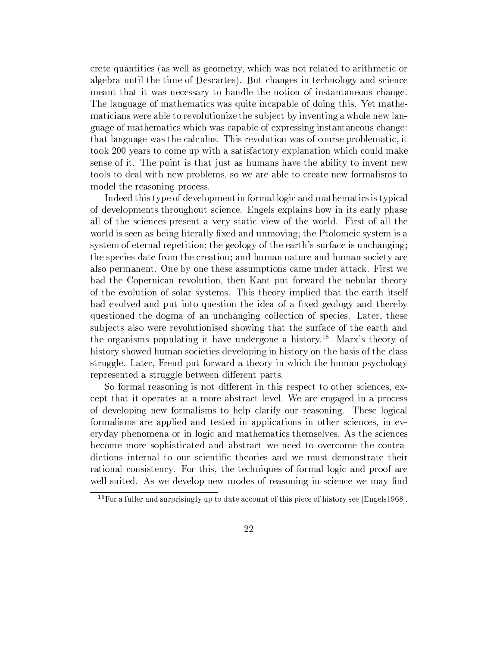crete quantities (as well as geometry, which was not related to arithmetic or algebra until the time of Descartes). But changes in technology and science meant that it was necessary to handle the notion of instantaneous change. The language of mathematics was quite incapable of doing this. Yet mathematicians were able to revolutionize the subject by inventing a whole new language of mathematics which was capable of expressing instantaneous change: that language was the calculus. This revolution was of course problematic, it took 200 years to come up with a satisfactory explanation which could make sense of it. The point is that just as humans have the ability to invent new tools to deal with new problems, so we are able to create new formalisms to model the reasoning process.

Indeed this type of development in formal logic and mathematics is typical of developments throughout science. Engels explains how in its early phase all of the sciences present a very static view of the world. First of all the world is seen as being literally fixed and unmoving; the Ptolomeic system is a system of eternal repetition; the geology of the earth's surface is unchanging; the species date from the creation; and human nature and human society are also permanent. One by one these assumptions came under attack. First we had the Copernican revolution, then Kant put forward the nebular theory of the evolution of solar systems. This theory implied that the earth itself had evolved and put into question the idea of a fixed geology and thereby questioned the dogma of an unchanging collection of species. Later, these subjects also were revolutionised showing that the surface of the earth and the organisms populating it have undergone a history.<sup>15</sup> Marx's theory of history showed human societies developing in history on the basis of the class struggle. Later, Freud put forward a theory in which the human psychology represented a struggle between different parts.

So formal reasoning is not different in this respect to other sciences, except that it operates at a more abstract level. We are engaged in a process of developing new formalisms to help clarify our reasoning. These logical formalisms are applied and tested in applications in other sciences, in everyday phenomena or in logic and mathematics themselves. As the sciences become more sophisticated and abstract we need to overcome the contradictions internal to our scientific theories and we must demonstrate their rational consistency. For this, the techniques of formal logic and proof are well suited. As we develop new modes of reasoning in science we may find

 $15$  For a fuller and surprisingly up to date account of this piece of history see [Engels1968].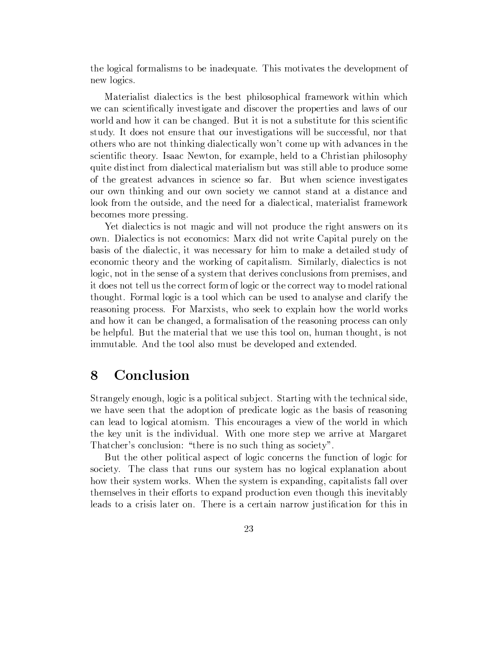the logical formalisms to be inadequate. This motivates the development of new logics.

Materialist dialectics is the best philosophical framework within which we can scientifically investigate and discover the properties and laws of our world and how it can be changed. But it is not a substitute for this scientific study. It does not ensure that our investigations will be successful, nor that others who are not thinking dialectically won't come up with advances in the scientific theory. Isaac Newton, for example, held to a Christian philosophy quite distinct from dialectical materialism but was still able to produce some of the greatest advances in science so far. But when science investigates our own thinking and our own society we cannot stand at a distance and look from the outside, and the need for a dialectical, materialist framework becomes more pressing.

Yet dialectics is not magic and will not produce the right answers on its own. Dialectics is not economics: Marx did not write Capital purely on the basis of the dialectic, it was necessary for him to make a detailed study of economic theory and the working of capitalism. Similarly, dialectics is not logic, not in the sense of a system that derives conclusions from premises, and it does not tell us the correct form of logic or the correct way to model rational thought. Formal logic is a tool which can be used to analyse and clarify the reasoning process. For Marxists, who seek to explain how the world works and how it can be changed, a formalisation of the reasoning process can only be helpful. But the material that we use this tool on, human thought, is not immutable. And the tool also must be developed and extended.

#### Conclusion 8

Strangely enough, logic is a political subject. Starting with the technical side, we have seen that the adoption of predicate logic as the basis of reasoning can lead to logical atomism. This encourages a view of the world in which the key unit is the individual. With one more step we arrive at Margaret Thatcher's conclusion: "there is no such thing as society".

But the other political aspect of logic concerns the function of logic for society. The class that runs our system has no logical explanation about how their system works. When the system is expanding, capitalists fall over themselves in their efforts to expand production even though this inevitably leads to a crisis later on. There is a certain narrow justification for this in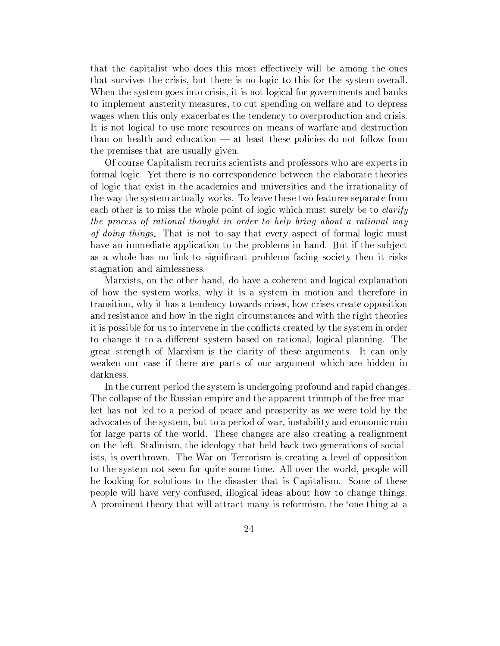that the capitalist who does this most effectively will be among the ones that survives the crisis, but there is no logic to this for the system overall. When the system goes into crisis, it is not logical for governments and banks to implement austerity measures, to cut spending on welfare and to depress wages when this only exacerbates the tendency to overproduction and crisis. It is not logical to use more resources on means of warfare and destruction than on health and education — at least these policies do not follow from the premises that are usually given.

Of course Capitalism recruits scientists and professors who are experts in formal logic. Yet there is no correspondence between the elaborate theories of logic that exist in the academies and universities and the irrationality of the way the system actually works. To leave these two features separate from each other is to miss the whole point of logic which must surely be to *clarify* the process of rational thought in order to help bring about a rational way of doing things. That is not to say that every aspect of formal logic must have an immediate application to the problems in hand. But if the subject as a whole has no link to significant problems facing society then it risks stagnation and aimlessness.

Marxists, on the other hand, do have a coherent and logical explanation of how the system works, why it is a system in motion and therefore in transition, why it has a tendency towards crises, how crises create opposition and resistance and how in the right circumstances and with the right theories it is possible for us to intervene in the conflicts created by the system in order to change it to a different system based on rational, logical planning. The great strength of Marxism is the clarity of these arguments. It can only weaken our case if there are parts of our argument which are hidden in darkness.

In the current period the system is undergoing profound and rapid changes. The collapse of the Russian empire and the apparent triumph of the free market has not led to a period of peace and prosperity as we were told by the advocates of the system, but to a period of war, instability and economic ruin for large parts of the world. These changes are also creating a realignment on the left. Stalinism, the ideology that held back two generations of socialists, is overthrown. The War on Terrorism is creating a level of opposition to the system not seen for quite some time. All over the world, people will be looking for solutions to the disaster that is Capitalism. Some of these people will have very confused, illogical ideas about how to change things. A prominent theory that will attract many is reformism, the 'one thing at a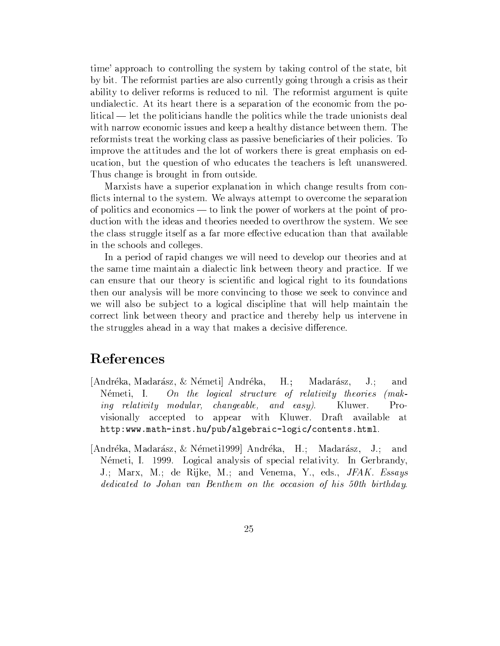time' approach to controlling the system by taking control of the state, bit by bit. The reformist parties are also currently going through a crisis as their ability to deliver reforms is reduced to nil. The reformist argument is quite undialectic. At its heart there is a separation of the economic from the political — let the politicians handle the politics while the trade unionists deal with narrow economic issues and keep a healthy distance between them. The reformists treat the working class as passive beneficiaries of their policies. To improve the attitudes and the lot of workers there is great emphasis on education, but the question of who educates the teachers is left unanswered. Thus change is brought in from outside.

Marxists have a superior explanation in which change results from conflicts internal to the system. We always attempt to overcome the separation of politics and economics — to link the power of workers at the point of production with the ideas and theories needed to overthrow the system. We see the class struggle itself as a far more effective education than that available in the schools and colleges.

In a period of rapid changes we will need to develop our theories and at the same time maintain a dialectic link between theory and practice. If we can ensure that our theory is scientific and logical right to its foundations then our analysis will be more convincing to those we seek to convince and we will also be subject to a logical discipline that will help maintain the correct link between theory and practice and thereby help us intervene in the struggles ahead in a way that makes a decisive difference.

## References

- [Andréka, Madarász, & Németi] Andréka,  $H$ .: Madarász,  $J$ .: and On the logical structure of relativity theories Németi, I.  $(mak$  $changeable, and easy).$ *ing relativity modular,* Kluwer.  $Pro$ visionally accepted to appear with Kluwer. Draft available at http:www.math-inst.hu/pub/algebraic-logic/contents.html.
- [Andréka, Madarász, & Németi1999] Andréka, H.; Madarász, J.; and Németi, I. 1999. Logical analysis of special relativity. In Gerbrandy, J.; Marx, M.; de Rijke, M.; and Venema, Y., eds., JFAK. Essays dedicated to Johan van Benthem on the occasion of his 50th birthday.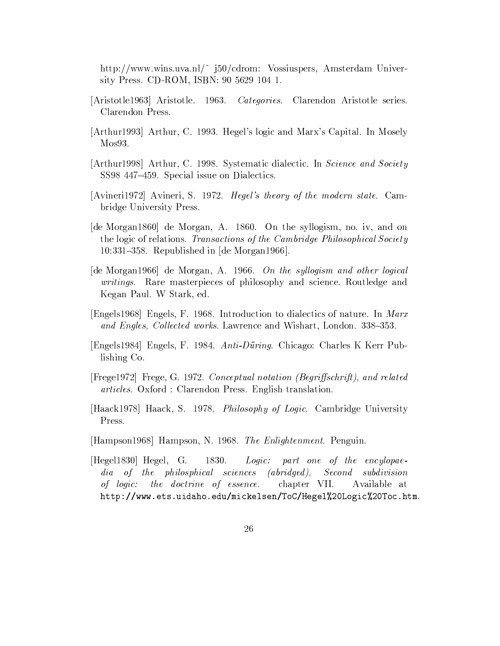http://www.wins.uva.nl/~ j50/cdrom: Vossiuspers, Amsterdam University Press. CD-ROM, ISBN: 90 5629 104 1.

- Aristotle1963 Aristotle. 1963. Categories. Clarendon Aristotle series. Clarendon Press.
- [Arthur1993] Arthur, C. 1993. Hegel's logic and Marx's Capital. In Mosely  $M$ os $93$ .
- [Arthur1998] Arthur, C. 1998. Systematic dialectic. In Science and Society SS98 447-459. Special issue on Dialectics.
- [Avineri1972] Avineri, S. 1972. Hegel's theory of the modern state. Cambridge University Press.
- [de Morgan1860] de Morgan, A. 1860. On the syllogism, no. iv, and on the logic of relations. Transactions of the Cambridge Philosophical Society 10:331-358. Republished in  $de Morgan$ 1966.
- [de Morgan1966] de Morgan, A. 1966. On the syllogism and other logical writings. Rare masterpieces of philosophy and science. Routledge and Kegan Paul. W Stark, ed.
- [Engels1968] Engels, F. 1968. Introduction to dialectics of nature. In Marx and Engles, Collected works. Lawrence and Wishart, London. 338–353.
- [Engels1984] Engels, F. 1984. Anti-Düring. Chicago: Charles K Kerr Publishing Co.
- [Frege1972] Frege, G. 1972. Conceptual notation (Begriffschrift), and related *articles.* Oxford: Clarendon Press. English translation.
- [Haack1978] Haack, S. 1978. Philosophy of Logic. Cambridge University Press.
- [Hampson1968] Hampson, N. 1968. The Enlightenment. Penguin.
- $[Hegel1830]$  Hegel, G. 1830.  $Logic:$ part one of the encylopaeof the philosphical sciences  $(abridge),$ Second subdivision  $dia$ the doctrine of essence. chapter VII. of logic: Available at http://www.ets.uidaho.edu/mickelsen/ToC/Hegel%20Logic%20Toc.htm.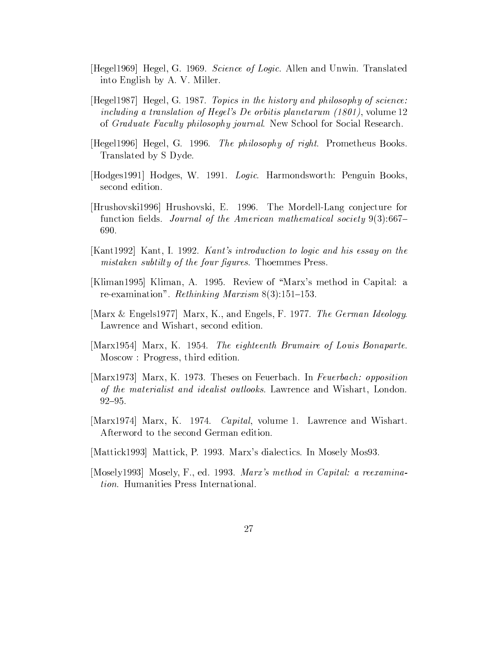- [Hegel1969] Hegel, G. 1969. Science of Logic. Allen and Unwin. Translated into English by A. V. Miller.
- [Hegel1987] Hegel, G. 1987. Topics in the history and philosophy of science: including a translation of Hegel's De orbitis planetarum  $(1801)$ , volume 12 of *Graduate Faculty philosophy journal*. New School for Social Research.
- [Hegel1996] Hegel, G. 1996. The philosophy of right. Prometheus Books. Translated by S Dyde.
- [Hodges1991] Hodges, W. 1991. Logic. Harmondsworth: Penguin Books, second edition.
- [Hrushovski1996] Hrushovski, E. 1996. The Mordell-Lang conjecture for function fields. Journal of the American mathematical society 9(3):667– 690.
- [Kant1992] Kant, I. 1992. Kant's introduction to logic and his essay on the *mistaken subtilty of the four figures.* Thoemmes Press.
- [Kliman1995] Kliman, A. 1995. Review of "Marx's method in Capital: a re-examination". Rethinking Marxism  $8(3):151-153$ .
- [Marx & Engels1977] Marx, K., and Engels, F. 1977. The German Ideology. Lawrence and Wishart, second edition.
- [Marx1954] Marx, K. 1954. The eighteenth Brumaire of Louis Bonaparte. Moscow: Progress, third edition.
- [Marx1973] Marx, K. 1973. Theses on Feuerbach. In Feuerbach: opposition of the materialist and idealist outlooks. Lawrence and Wishart, London.  $92 - 95.$
- [Marx1974] Marx, K. 1974. Capital, volume 1. Lawrence and Wishart. Afterword to the second German edition.
- [Mattick1993] Mattick, P. 1993. Marx's dialectics. In Mosely Mos93.
- [Mosely1993] Mosely, F., ed. 1993. Marx's method in Capital: a reexamination. Humanities Press International.